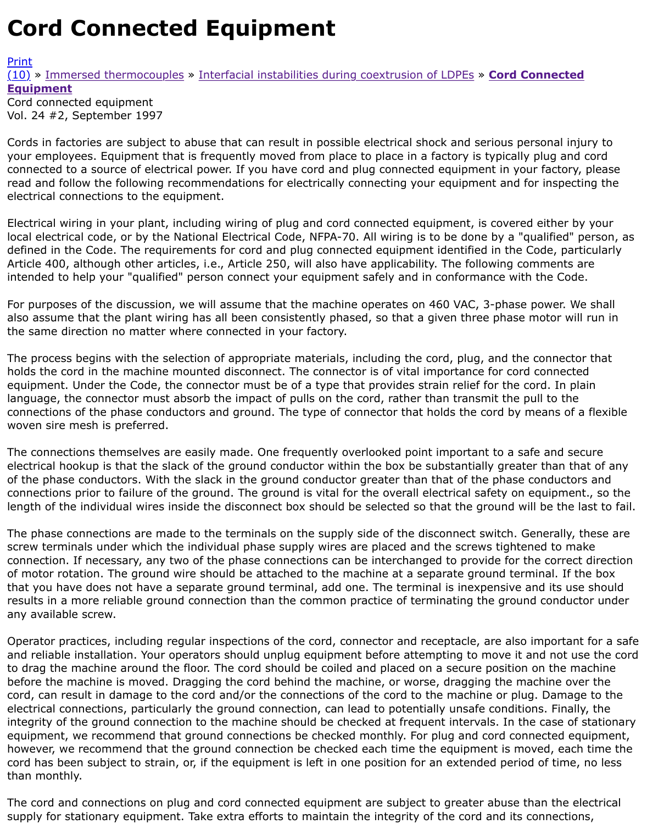## Vol. 24 #2, September 1997

Cords in factories are subject to abuse that can result in possible electrical shock and serious person your employees. Equipment that is frequently moved from place to place in a factory is typically plu [conn](http://extrusionwiki.com/wiki/Print.aspx?Page=CC-V24-2-B)ected to a source of electrical power. If you have cord and plug connected equipment in your fa [rea](http://extrusionwiki.com/wiki/CC-V24-2-B.ashx#)[d an](http://extrusionwiki.com/wiki/CC-V24-2-B.ashx)[d follow the following re](http://extrusionwiki.com/wiki/CC-V24-1-A.ashx)[com](http://extrusionwiki.com/wiki/CC-V24-2-B.ashx)[mendations for electrically connecting your equip](http://extrusionwiki.com/wiki/CC-V24-2-A.ashx)ment and for ir electrical connections to the equipment.

Electrical wiring in your plant, including wiring of plug and cord connected equipment, is covered eit local electrical code, or by the National Electrical Code, NFPA-70. All wiring is to be done by a "quali defined in the Code. The requirements for cord and plug connected equipment identified in the Code Article 400, although other articles, i.e., Article 250, will also have applicability. The following comm intended to help your "qualified" person connect your equipment safely and in conformance with the

For purposes of the discussion, we will assume that the machine operates on 460 VAC, 3-phase pov also assume that the plant wiring has all been consistently phased, so that a given three phase mot the same direction no matter where connected in your factory.

The process begins with the selection of appropriate materials, including the cord, plug, and the cor holds the cord in the machine mounted disconnect. The connector is of vital importance for cord cor equipment. Under the Code, the connector must be of a type that provides strain relief for the cord. language, the connector must absorb the impact of pulls on the cord, rather than transmit the pull t connections of the phase conductors and ground. The type of connector that holds the cord by mean woven sire mesh is preferred.

The connections themselves are easily made. One frequently overlooked point important to a safe a electrical hookup is that the slack of the ground conductor within the box be substantially greater th of the phase conductors. With the slack in the ground conductor greater than that of the phase cond connections prior to failure of the ground. The ground is vital for the overall electrical safety on equ length of the individual wires inside the disconnect box should be selected so that the ground will be

The phase connections are made to the terminals on the supply side of the disconnect switch. Gene screw terminals under which the individual phase supply wires are placed and the screws tightened connection. If necessary, any two of the phase connections can be interchanged to provide for the c of motor rotation. The ground wire should be attached to the machine at a separate ground termina that you have does not have a separate ground terminal, add one. The terminal is inexpensive and results in a more reliable ground connection than the common practice of terminating the ground conductor under any available screw.

Operator practices, including regular inspections of the cord, connector and receptacle, are also imp and reliable installation. Your operators should unplug equipment before attempting to move it and to drag the machine around the floor. The cord should be coiled and placed on a secure position on before the machine is moved. Dragging the cord behind the machine, or worse, dragging the machi cord, can result in damage to the cord and/or the connections of the cord to the machine or plug. D electrical connections, particularly the ground connection, can lead to potentially unsafe conditions. integrity of the ground connection to the machine should be checked at frequent intervals. In the ca equipment, we recommend that ground connections be checked monthly. For plug and cord connect however, we recommend that the ground connection be checked each time the equipment is moved cord has been subject to strain, or, if the equipment is left in one position for an extended period of than monthly.

The cord and connections on plug and cord connected equipment are subject to greater abuse than supply for stationary equipment. Take extra efforts to maintain the integrity of the cord and its conr